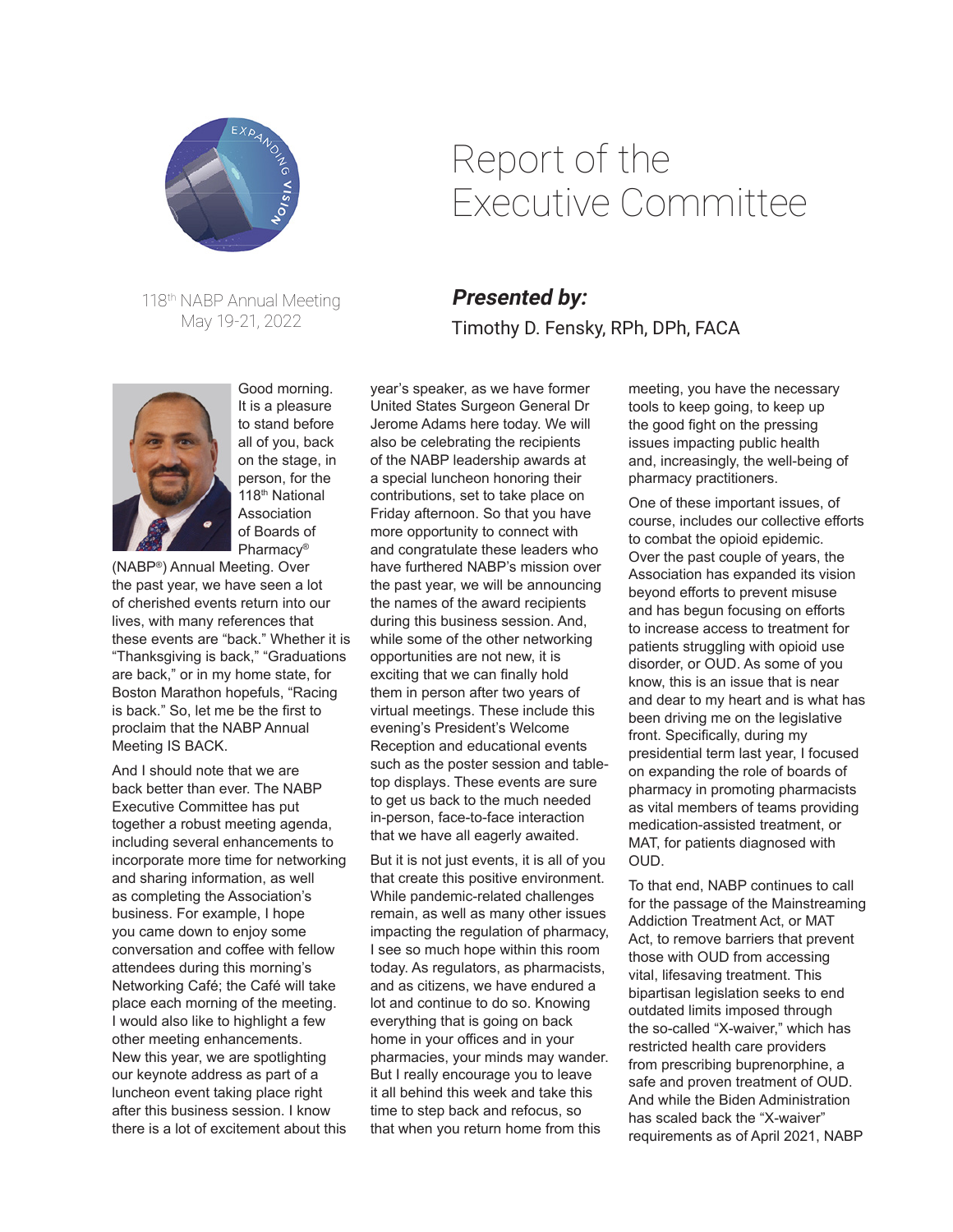

118th NABP Annual Meeting May 19-21, 2022



Good morning. It is a pleasure to stand before all of you, back on the stage, in person, for the 118th National Association of Boards of Pharmacy®

(NABP®) Annual Meeting. Over the past year, we have seen a lot of cherished events return into our lives, with many references that these events are "back." Whether it is "Thanksgiving is back," "Graduations are back," or in my home state, for Boston Marathon hopefuls, "Racing is back." So, let me be the first to proclaim that the NABP Annual Meeting IS BACK.

And I should note that we are back better than ever. The NABP Executive Committee has put together a robust meeting agenda, including several enhancements to incorporate more time for networking and sharing information, as well as completing the Association's business. For example, I hope you came down to enjoy some conversation and coffee with fellow attendees during this morning's Networking Café; the Café will take place each morning of the meeting. I would also like to highlight a few other meeting enhancements. New this year, we are spotlighting our keynote address as part of a luncheon event taking place right after this business session. I know there is a lot of excitement about this

## Report of the Executive Committee

## **Presented by:** Timothy D. Fensky, RPh, DPh, FACA

year's speaker, as we have former United States Surgeon General Dr Jerome Adams here today. We will also be celebrating the recipients of the NABP leadership awards at a special luncheon honoring their contributions, set to take place on Friday afternoon. So that you have more opportunity to connect with and congratulate these leaders who have furthered NABP's mission over the past year, we will be announcing the names of the award recipients during this business session. And, while some of the other networking opportunities are not new, it is exciting that we can finally hold them in person after two years of virtual meetings. These include this evening's President's Welcome Reception and educational events such as the poster session and tabletop displays. These events are sure to get us back to the much needed in-person, face-to-face interaction that we have all eagerly awaited.

But it is not just events, it is all of you that create this positive environment. While pandemic-related challenges remain, as well as many other issues impacting the regulation of pharmacy, I see so much hope within this room today. As regulators, as pharmacists, and as citizens, we have endured a lot and continue to do so. Knowing everything that is going on back home in your offices and in your pharmacies, your minds may wander. But I really encourage you to leave it all behind this week and take this time to step back and refocus, so that when you return home from this

meeting, you have the necessary tools to keep going, to keep up the good fight on the pressing issues impacting public health and, increasingly, the well-being of pharmacy practitioners.

One of these important issues, of course, includes our collective efforts to combat the opioid epidemic. Over the past couple of years, the Association has expanded its vision beyond efforts to prevent misuse and has begun focusing on efforts to increase access to treatment for patients struggling with opioid use disorder, or OUD. As some of you know, this is an issue that is near and dear to my heart and is what has been driving me on the legislative front. Specifically, during my presidential term last year, I focused on expanding the role of boards of pharmacy in promoting pharmacists as vital members of teams providing medication-assisted treatment, or MAT, for patients diagnosed with OUD.

To that end, NABP continues to call for the passage of the Mainstreaming Addiction Treatment Act, or MAT Act, to remove barriers that prevent those with OUD from accessing vital, lifesaving treatment. This bipartisan legislation seeks to end outdated limits imposed through the so-called "X-waiver," which has restricted health care providers from prescribing buprenorphine, a safe and proven treatment of OUD. And while the Biden Administration has scaled back the "X-waiver" requirements as of April 2021, NABP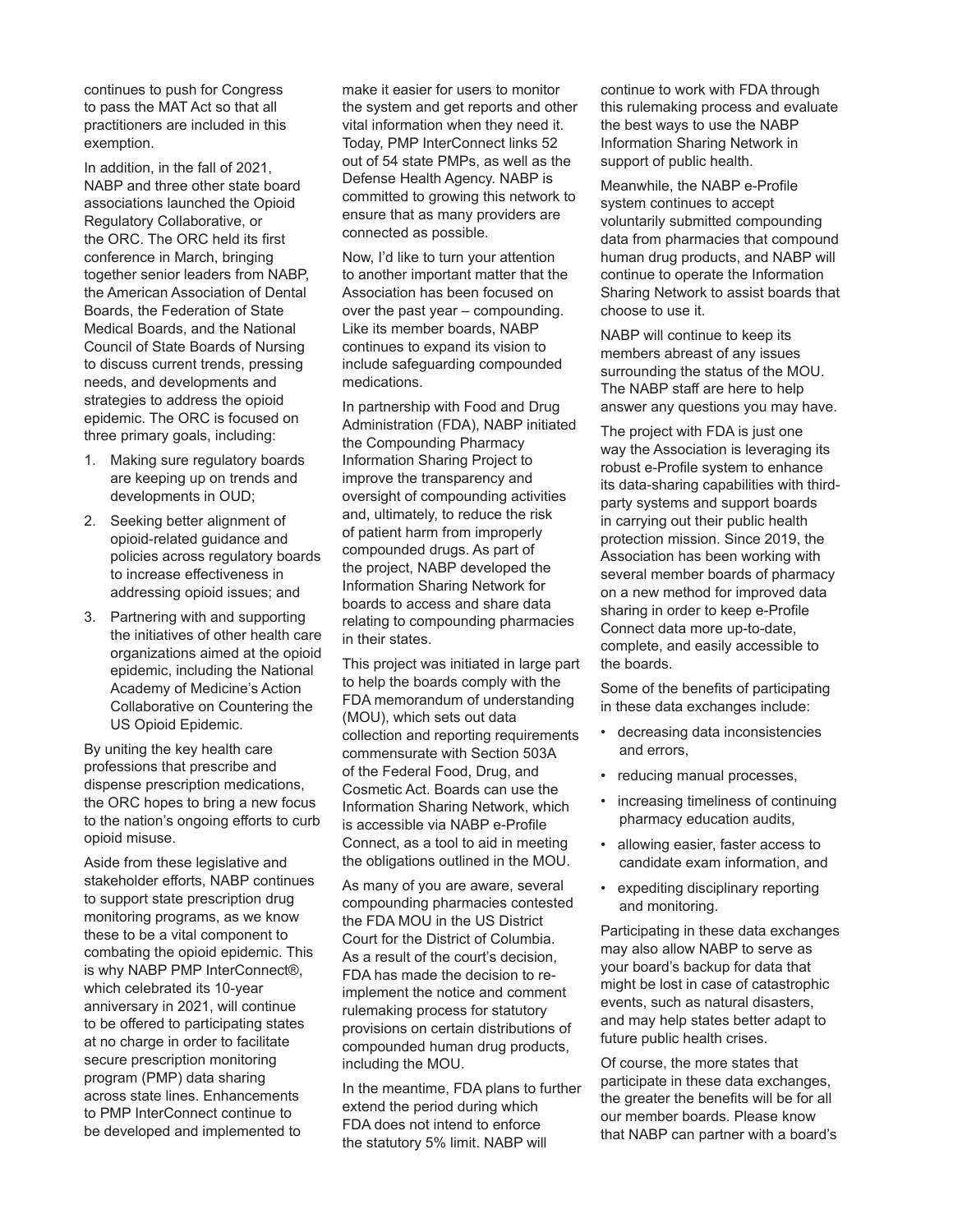continues to push for Congress to pass the MAT Act so that all practitioners are included in this exemption.

In addition, in the fall of 2021, NABP and three other state board associations launched the Opioid Regulatory Collaborative, or the ORC. The ORC held its first conference in March, bringing together senior leaders from NABP, the American Association of Dental Boards, the Federation of State Medical Boards, and the National Council of State Boards of Nursing to discuss current trends, pressing needs, and developments and strategies to address the opioid epidemic. The ORC is focused on three primary goals, including:

- 1. Making sure regulatory boards are keeping up on trends and developments in OUD;
- 2. Seeking better alignment of opioid-related guidance and policies across regulatory boards to increase effectiveness in addressing opioid issues; and
- 3. Partnering with and supporting the initiatives of other health care organizations aimed at the opioid epidemic, including the National Academy of Medicine's Action Collaborative on Countering the US Opioid Epidemic.

By uniting the key health care professions that prescribe and dispense prescription medications, the ORC hopes to bring a new focus to the nation's ongoing efforts to curb opioid misuse.

Aside from these legislative and stakeholder efforts, NABP continues to support state prescription drug monitoring programs, as we know these to be a vital component to combating the opioid epidemic. This is why NABP PMP InterConnect®, which celebrated its 10-year anniversary in 2021, will continue to be offered to participating states at no charge in order to facilitate secure prescription monitoring program (PMP) data sharing across state lines. Enhancements to PMP InterConnect continue to be developed and implemented to

make it easier for users to monitor the system and get reports and other vital information when they need it. Today, PMP InterConnect links 52 out of 54 state PMPs, as well as the Defense Health Agency. NABP is committed to growing this network to ensure that as many providers are connected as possible.

Now, I'd like to turn your attention to another important matter that the Association has been focused on over the past year – compounding. Like its member boards, NABP continues to expand its vision to include safeguarding compounded medications.

In partnership with Food and Drug Administration (FDA), NABP initiated the Compounding Pharmacy Information Sharing Project to improve the transparency and oversight of compounding activities and, ultimately, to reduce the risk of patient harm from improperly compounded drugs. As part of the project, NABP developed the Information Sharing Network for boards to access and share data relating to compounding pharmacies in their states.

This project was initiated in large part to help the boards comply with the FDA memorandum of understanding (MOU), which sets out data collection and reporting requirements commensurate with Section 503A of the Federal Food, Drug, and Cosmetic Act. Boards can use the Information Sharing Network, which is accessible via NABP e-Profile Connect, as a tool to aid in meeting the obligations outlined in the MOU.

As many of you are aware, several compounding pharmacies contested the FDA MOU in the US District Court for the District of Columbia. As a result of the court's decision, FDA has made the decision to reimplement the notice and comment rulemaking process for statutory provisions on certain distributions of compounded human drug products, including the MOU.

In the meantime, FDA plans to further extend the period during which FDA does not intend to enforce the statutory 5% limit. NABP will

continue to work with FDA through this rulemaking process and evaluate the best ways to use the NABP Information Sharing Network in support of public health.

Meanwhile, the NABP e-Profile system continues to accept voluntarily submitted compounding data from pharmacies that compound human drug products, and NABP will continue to operate the Information Sharing Network to assist boards that choose to use it.

NABP will continue to keep its members abreast of any issues surrounding the status of the MOU. The NABP staff are here to help answer any questions you may have.

The project with FDA is just one way the Association is leveraging its robust e-Profile system to enhance its data-sharing capabilities with thirdparty systems and support boards in carrying out their public health protection mission. Since 2019, the Association has been working with several member boards of pharmacy on a new method for improved data sharing in order to keep e-Profile Connect data more up-to-date, complete, and easily accessible to the boards.

Some of the benefits of participating in these data exchanges include:

- decreasing data inconsistencies and errors,
- reducing manual processes,
- increasing timeliness of continuing pharmacy education audits,
- allowing easier, faster access to candidate exam information, and
- expediting disciplinary reporting and monitoring.

Participating in these data exchanges may also allow NABP to serve as your board's backup for data that might be lost in case of catastrophic events, such as natural disasters, and may help states better adapt to future public health crises.

Of course, the more states that participate in these data exchanges, the greater the benefits will be for all our member boards. Please know that NABP can partner with a board's